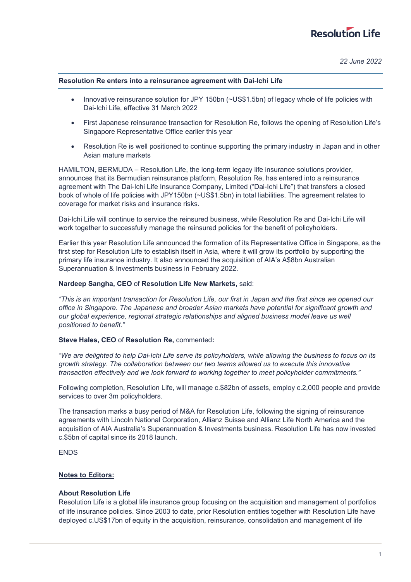# **Resolution Life**

*22 June 2022*

## **Resolution Re enters into a reinsurance agreement with Dai-Ichi Life**

- Innovative reinsurance solution for JPY 150bn (~US\$1.5bn) of legacy whole of life policies with Dai-Ichi Life, effective 31 March 2022
- First Japanese reinsurance transaction for Resolution Re, follows the opening of Resolution Life's Singapore Representative Office earlier this year
- Resolution Re is well positioned to continue supporting the primary industry in Japan and in other Asian mature markets

HAMILTON, BERMUDA – Resolution Life, the long-term legacy life insurance solutions provider, announces that its Bermudian reinsurance platform, Resolution Re, has entered into a reinsurance agreement with The Dai-Ichi Life Insurance Company, Limited ("Dai-Ichi Life") that transfers a closed book of whole of life policies with JPY150bn (~US\$1.5bn) in total liabilities. The agreement relates to coverage for market risks and insurance risks.

Dai-Ichi Life will continue to service the reinsured business, while Resolution Re and Dai-Ichi Life will work together to successfully manage the reinsured policies for the benefit of policyholders.

Earlier this year Resolution Life announced the formation of its Representative Office in Singapore, as the first step for Resolution Life to establish itself in Asia, where it will grow its portfolio by supporting the primary life insurance industry. It also announced the acquisition of AIA's A\$8bn Australian Superannuation & Investments business in February 2022.

## **Nardeep Sangha, CEO** of **Resolution Life New Markets,** said:

*"This is an important transaction for Resolution Life, our first in Japan and the first since we opened our office in Singapore. The Japanese and broader Asian markets have potential for significant growth and our global experience, regional strategic relationships and aligned business model leave us well positioned to benefit."*

#### **Steve Hales, CEO** of **Resolution Re,** commented**:**

*"We are delighted to help Dai-Ichi Life serve its policyholders, while allowing the business to focus on its growth strategy. The collaboration between our two teams allowed us to execute this innovative transaction effectively and we look forward to working together to meet policyholder commitments."*

Following completion, Resolution Life, will manage c.\$82bn of assets, employ c.2,000 people and provide services to over 3m policyholders.

The transaction marks a busy period of M&A for Resolution Life, following the signing of reinsurance agreements with Lincoln National Corporation, Allianz Suisse and Allianz Life North America and the acquisition of AIA Australia's Superannuation & Investments business. Resolution Life has now invested c.\$5bn of capital since its 2018 launch.

# ENDS

## **Notes to Editors:**

## **About Resolution Life**

Resolution Life is a global life insurance group focusing on the acquisition and management of portfolios of life insurance policies. Since 2003 to date, prior Resolution entities together with Resolution Life have deployed c.US\$17bn of equity in the acquisition, reinsurance, consolidation and management of life